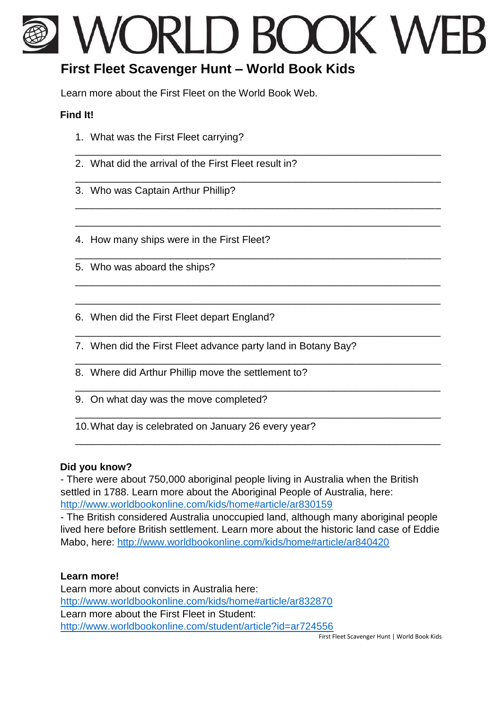# WORLD BOOK WFB

\_\_\_\_\_\_\_\_\_\_\_\_\_\_\_\_\_\_\_\_\_\_\_\_\_\_\_\_\_\_\_\_\_\_\_\_\_\_\_\_\_\_\_\_\_\_\_\_\_\_\_\_\_\_\_\_\_\_\_\_\_\_\_\_\_

\_\_\_\_\_\_\_\_\_\_\_\_\_\_\_\_\_\_\_\_\_\_\_\_\_\_\_\_\_\_\_\_\_\_\_\_\_\_\_\_\_\_\_\_\_\_\_\_\_\_\_\_\_\_\_\_\_\_\_\_\_\_\_\_\_

\_\_\_\_\_\_\_\_\_\_\_\_\_\_\_\_\_\_\_\_\_\_\_\_\_\_\_\_\_\_\_\_\_\_\_\_\_\_\_\_\_\_\_\_\_\_\_\_\_\_\_\_\_\_\_\_\_\_\_\_\_\_\_\_\_

\_\_\_\_\_\_\_\_\_\_\_\_\_\_\_\_\_\_\_\_\_\_\_\_\_\_\_\_\_\_\_\_\_\_\_\_\_\_\_\_\_\_\_\_\_\_\_\_\_\_\_\_\_\_\_\_\_\_\_\_\_\_\_\_\_

\_\_\_\_\_\_\_\_\_\_\_\_\_\_\_\_\_\_\_\_\_\_\_\_\_\_\_\_\_\_\_\_\_\_\_\_\_\_\_\_\_\_\_\_\_\_\_\_\_\_\_\_\_\_\_\_\_\_\_\_\_\_\_\_\_

\_\_\_\_\_\_\_\_\_\_\_\_\_\_\_\_\_\_\_\_\_\_\_\_\_\_\_\_\_\_\_\_\_\_\_\_\_\_\_\_\_\_\_\_\_\_\_\_\_\_\_\_\_\_\_\_\_\_\_\_\_\_\_\_\_

\_\_\_\_\_\_\_\_\_\_\_\_\_\_\_\_\_\_\_\_\_\_\_\_\_\_\_\_\_\_\_\_\_\_\_\_\_\_\_\_\_\_\_\_\_\_\_\_\_\_\_\_\_\_\_\_\_\_\_\_\_\_\_\_\_

\_\_\_\_\_\_\_\_\_\_\_\_\_\_\_\_\_\_\_\_\_\_\_\_\_\_\_\_\_\_\_\_\_\_\_\_\_\_\_\_\_\_\_\_\_\_\_\_\_\_\_\_\_\_\_\_\_\_\_\_\_\_\_\_\_

\_\_\_\_\_\_\_\_\_\_\_\_\_\_\_\_\_\_\_\_\_\_\_\_\_\_\_\_\_\_\_\_\_\_\_\_\_\_\_\_\_\_\_\_\_\_\_\_\_\_\_\_\_\_\_\_\_\_\_\_\_\_\_\_\_

\_\_\_\_\_\_\_\_\_\_\_\_\_\_\_\_\_\_\_\_\_\_\_\_\_\_\_\_\_\_\_\_\_\_\_\_\_\_\_\_\_\_\_\_\_\_\_\_\_\_\_\_\_\_\_\_\_\_\_\_\_\_\_\_\_

\_\_\_\_\_\_\_\_\_\_\_\_\_\_\_\_\_\_\_\_\_\_\_\_\_\_\_\_\_\_\_\_\_\_\_\_\_\_\_\_\_\_\_\_\_\_\_\_\_\_\_\_\_\_\_\_\_\_\_\_\_\_\_\_\_

\_\_\_\_\_\_\_\_\_\_\_\_\_\_\_\_\_\_\_\_\_\_\_\_\_\_\_\_\_\_\_\_\_\_\_\_\_\_\_\_\_\_\_\_\_\_\_\_\_\_\_\_\_\_\_\_\_\_\_\_\_\_\_\_\_

## **First Fleet Scavenger Hunt – World Book Kids**

Learn more about the First Fleet on the World Book Web.

### **Find It!**

- 1. What was the First Fleet carrying?
- 2. What did the arrival of the First Fleet result in?
- 3. Who was Captain Arthur Phillip?

4. How many ships were in the First Fleet?

- 5. Who was aboard the ships?
- 6. When did the First Fleet depart England?
- 7. When did the First Fleet advance party land in Botany Bay?
- 8. Where did Arthur Phillip move the settlement to?
- 9. On what day was the move completed?
- 10.What day is celebrated on January 26 every year?

### **Did you know?**

- There were about 750,000 aboriginal people living in Australia when the British settled in 1788. Learn more about the Aboriginal People of Australia, here: <http://www.worldbookonline.com/kids/home#article/ar830159>

- The British considered Australia unoccupied land, although many aboriginal people lived here before British settlement. Learn more about the historic land case of Eddie Mabo, here: <http://www.worldbookonline.com/kids/home#article/ar840420>

### **Learn more!**

Learn more about convicts in Australia here: <http://www.worldbookonline.com/kids/home#article/ar832870> Learn more about the First Fleet in Student: <http://www.worldbookonline.com/student/article?id=ar724556>

First Fleet Scavenger Hunt | World Book Kids